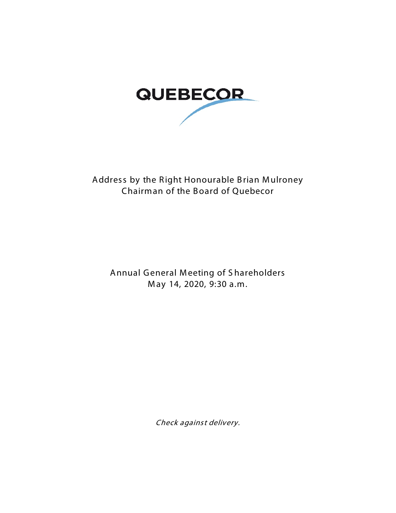

## Address by the Right Honourable Brian Mulroney Chairman of the Board of Quebecor

Annual General Meeting of Shareholders May 14, 2020, 9:30 a.m.

Check against delivery.